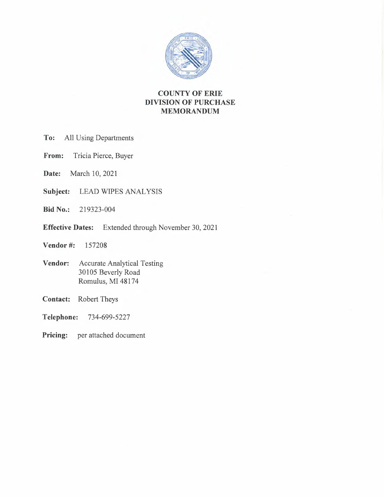

# **COUNTY OF ERIE DIVISION OF PURCHASE MEMORANDUM**

- **To:** All Using Departments
- **From:** Tricia Pierce, Buyer
- **Date:** March 10, 2021
- **Subject:** LEAD WIPES ANALYSIS
- **Bid No.:** 219323-004
- **Effective Dates:** Extended through November 30, 2021
- **Vendor** #: 157208
- **Vendor:** Accurate Analytical Testing 30105 Beverly Road Romulus, MI 48174
- **Contact:** Robert Theys
- **Telephone:** 734-699-5227
- **Pricing:** per attached document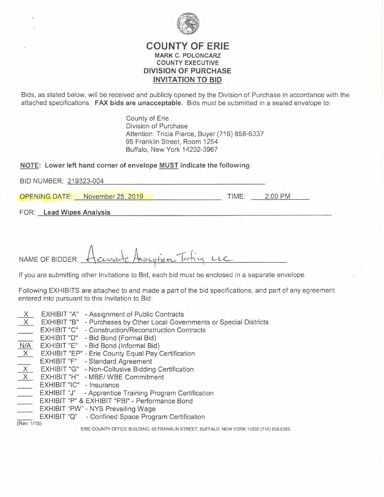

### **COUNTY OF ERIE MARK C. POLONCARZ COUNTY EXECUTIVE DIVISION OF PURCHASE INVITATION TO BID**

Bids, as stated below, will be received and publicly opened by the Division of Purchase in accordance with the attached specifications. **FAX bids are unacceptable.** Bids must be submitted in a sealed envelope to:

> County of Erie Division of Purchase Attention: Tricia Pierce, Buyer (716) 858-6337 95 Franklin Street, Room 1254 Buffalo, New York 14202-3967

| NOTE: Lower left hand corner of envelope MUST indicate the following: |       |         |
|-----------------------------------------------------------------------|-------|---------|
| BID NUMBER: 219323-004                                                |       |         |
| <b>OPENING DATE:</b> November 25, 2019                                | TIME: | 2:00 PM |

FOR: **Lead Wipes Analysis** 

NAME OF BIDDER: <u>Accevate</u> Ausytien Testing LLC

If you are submitting other Invitations to Bid, each bid must be enclosed in a separate envelope.

Following EXHIBITS are attached to and made a part of the bid specifications, and part of any agreement entered into pursuant to this Invitation to Bid:

- $\frac{X}{X}$  EXHIBIT "A" Assignment of Public Contracts
	- EXHIBIT "A" Assignment of Public Contracts<br>EXHIBIT "B" Purchases by Other Local Governments or Special Districts<br>EXHIBIT "C" Construction/Reconstruction Contracts
- EXHIBIT "C" Construction/Reconstruction Contracts
- EXHIBIT "D'' Bid Bond (Formal Bid)
- N/A EXHIBIT "E" Bid Bond (Informal Bid)
- $\overline{X}$  EXHIBIT "EP" Erie County Equal Pay Certification
- EXHIBIT "F" Standard Agreement
- $\overline{X}$  EXHIBIT "G" Non-Collusive Bidding Certification
- $X$  EXHIBIT "H" MBE/ WBE Commitment
- EXHIBIT "IC" Insurance
- EXHIBIT "J" Apprentice Training Program Certification
- EXHIBIT "P" & EXHIBIT "PBI" Performance Bond
- EXHIBIT "PW" NYS Prevailing Wage
- EXHIBIT "Q" Confined Space Program Certification

(Rev. 1/15)

ERIE COUNTY OFFICE BUILDING, 95 FRANKLIN STREET, BUFFALO. NEW YORK 14202 (71ô) 858-6395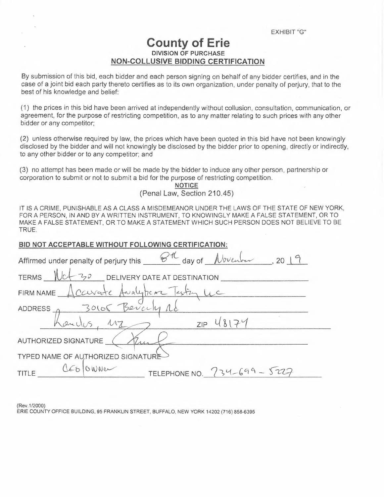# **County of Erie DIVISION OF PURCHASE NON-COLLUSIVE BIDDING CERTIFICATION**

By submission of this bid, each bidder and each person signing on behalf of any bidder certifies, and in the case of a joint bid each party thereto certifies as to its own organization, under penalty of perjury, that to the best of his knowledge and belief:

(1) the prices in this bid have been arrived at independently without collusion, consultation, communication, or agreement, for the purpose of restricting competition, as to any matter relating to such prices with any other bidder or any competitor;

(2) unless otherwise required by law, the prices which have been quoted in this bid have not been knowingly disclosed by the bidder and will not knowingly be disclosed by the bidder prior to opening, directly or indirectly, to any other bidder or to any competitor; and

(3) no attempt has been made or will be made by the bidder to induce any other person, partnership or corporation to submit or not to submit a bid for the purpose of restricting competition.

> **NOTICE**  (Penal Law, Section 210.45)

IT IS A CRIME, PUNISHABLE AS A CLASS **A** MISDEMEANOR UNDER THE LAWS OF THE STATE OF NEW YORK, FOR A PERSON, IN AND BY A WRITTEN INSTRUMENT, TO KNOWINGLY MAKE A FALSE STATEMENT, OR TO MAKE A FALSE STATEMENT, OR TO MAKE A STATEMENT WHICH SUCH PERSON DOES NOT BELIEVE TO BE TRUE.

#### **BID NOT ACCEPTABLE WITHOUT FOLLOWING CERTIFICATION:**

| BID NOT ACCEPTABLE WITHOUT FOLLOWING CERTIFICATION:                                                 |
|-----------------------------------------------------------------------------------------------------|
| Affirmed under penalty of perjury this $\mathscr{B}^{\mathcal{H}}$ day of $\mathcal{N}$ weaker 2019 |
| TERMS $Mct - 30$ DELIVERY DATE AT DESTINATION                                                       |
| FIRM NAME Accurate Avalyticar Testing LLC                                                           |
|                                                                                                     |
| ADDRESS BOILE Bevich rd<br>$2^{12}$ $2^{18}$ $13174$                                                |
| AUTHORIZED SIGNATURE                                                                                |
| <b>TYPED NAME OF AUTHORIZED SIGNATURE</b>                                                           |
| TITLE CED OWNER<br>TELEPHONE NO. $734-699 - 5227$                                                   |

(Rev.1/2000)

ERIE COUNTY OFFICE BUILDING. 95 FRANKLIN STREET, BUFFALO, NEW YORK 14202 (716) 858-6395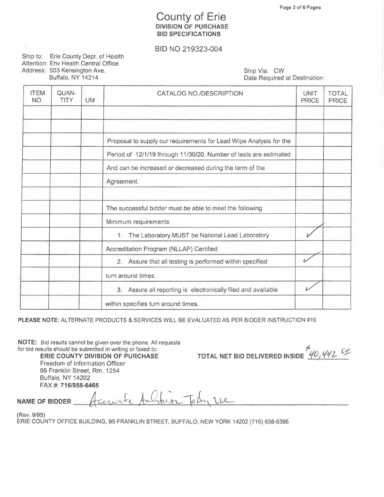# **County of Erie DIVISION OF PURCHASE BID SPECIFICATIONS**

#### BID NO 219323-004

Ship to: Erie County Dept. of Health Attention: Env Health Central Office Address: 503 Kensington Ave. Buffalo, NY 14214

Ship Via: CW Date Required at Destination:

| <b>ITEM</b><br>NO. | QUAN-<br>TITY | <b>UM</b> | CATALOG NO./DESCRIPTION                                            | <b>UNIT</b><br><b>PRICE</b> | <b>TOTAL</b><br>PRICE |
|--------------------|---------------|-----------|--------------------------------------------------------------------|-----------------------------|-----------------------|
|                    |               |           |                                                                    |                             |                       |
|                    |               |           |                                                                    |                             |                       |
|                    |               |           | Proposal to supply our requirements for Lead Wipe Analysis for the |                             |                       |
|                    |               |           | Period of 12/1/19 through 11/30/20. Number of tests are estimated  |                             |                       |
|                    |               |           | And can be increased or decreased during the term of the           |                             |                       |
|                    |               |           | Agreement.                                                         |                             |                       |
|                    |               |           |                                                                    |                             |                       |
|                    |               |           | The successful bidder must be able to meet the following           |                             |                       |
|                    |               |           | Minimum requirements:                                              |                             |                       |
|                    |               |           | The Laboratory MUST be National Lead Laboratory<br>$\mathbf{1}$ .  |                             |                       |
|                    |               |           | Accreditation Program (NLLAP) Certified.                           |                             |                       |
|                    |               |           | 2. Assure that all testing is performed within specified           |                             |                       |
|                    |               |           | turn around times.                                                 |                             |                       |
|                    |               |           | 3. Assure all reporting is electronically filed and available      |                             |                       |
|                    |               |           | within specifies turn around times.                                |                             |                       |

PLEASE NOTE: ALTERNATE PRODUCTS & SERVICES WILL BE EVALUATED AS PER BIDDER INSTRUCTION #19

NOTE: Bid results cannot be given over the phone. All requests for bid results should be submitted in writing or faxed to:

ERIE COUNTY DIVISION OF PURCHASE Freedom of Information Officer 95 Franklin Street, Rm. 1254 Buffalo, NY 14202 FAX #: 716/858-6465

40,442.50 TOTAL NET BID DELIVERED INSIDE

**NAME OF BIDDER** 

(Rev. 9/95)

ERIE COUNTY OFFICE BUILDING, 95 FRANKLIN STREET, BUFFALO, NEW YORK 14202 (716) 858-6395